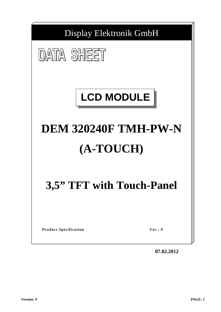

**07.02.2012**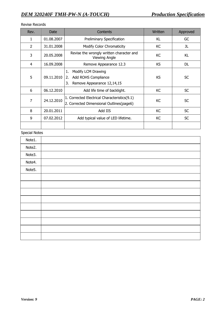## Revise Records

| Rev.           | Date       | Contents                                                                                  | Written   | Approved  |
|----------------|------------|-------------------------------------------------------------------------------------------|-----------|-----------|
| 1              | 01.08.2007 | <b>Preliminary Specification</b>                                                          | KL        | GC        |
| $\mathfrak{p}$ | 31.01.2008 | Modify Color Chromaticity                                                                 | KC        | JL        |
| 3              | 20.05.2008 | Revise the wrongly written character and<br><b>Viewing Angle</b>                          | KC        | KL        |
| 4              | 16.09.2008 | Remove Appearance 12.3                                                                    | <b>KS</b> | <b>DL</b> |
| 5              | 09.11.2010 | 1.<br>Modify LCM Drawing<br>Add ROHS Compliance<br>2.<br>Remove Appearance 12,14,15<br>3. | <b>KS</b> | <b>SC</b> |
| 6              | 06.12.2010 | Add life time of backlight.                                                               | KC        | <b>SC</b> |
| 7              | 24.12.2010 | 1. Corrected Electrical Characteristics(9.1)<br>2. Corrected Dimensional Outlines(page6)  | KC        | <b>SC</b> |
| 8              | 20.01.2011 | Add IIS                                                                                   | KC        | <b>SC</b> |
| 9              | 07.02.2012 | Add typical value of LED lifetime.                                                        | KC        | <b>SC</b> |
|                |            |                                                                                           |           |           |

# Special Notes

| Note1. |  |
|--------|--|
| Note2. |  |
| Note3. |  |
| Note4. |  |
| Note5. |  |
|        |  |
|        |  |
|        |  |
|        |  |
|        |  |
|        |  |
|        |  |
|        |  |
|        |  |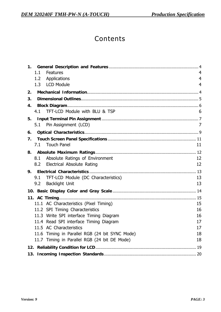# Contents

| 1.  | 1.1<br><b>Features</b><br>Applications<br>1.2<br>1.3 LCD Module | 4<br>4<br>4 |
|-----|-----------------------------------------------------------------|-------------|
| 2.  |                                                                 |             |
| 3.  |                                                                 |             |
| 4.  |                                                                 |             |
|     | 4.1 TFT-LCD Module with BLU & TSP                               | 6           |
| 5.  |                                                                 |             |
|     | 5.1 Pin Assignment (LCD)                                        | 7           |
| 6.  |                                                                 |             |
| 7.  |                                                                 |             |
|     | <b>Touch Panel</b><br>7.1                                       | 11          |
| 8.  |                                                                 |             |
|     | Absolute Ratings of Environment<br>8.1                          | 12          |
|     | 8.2 Electrical Absolute Rating                                  | 12          |
| 9.  |                                                                 |             |
|     | TFT-LCD Module (DC Characteristics)<br>9.1                      | 13          |
|     | <b>Backlight Unit</b><br>9.2                                    | 13          |
|     |                                                                 |             |
|     |                                                                 |             |
|     | 11.1 AC Characteristics (Pixel Timing)                          | 15          |
|     | 11.2 SPI Timing Characteristics                                 | 16          |
|     | 11.3 Write SPI interface Timing Diagram                         | 16          |
|     | 11.4 Read SPI interface Timing Diagram                          | 17          |
|     | 11.5 AC Characteristics                                         | 17          |
|     | 11.6 Timing in Parallel RGB (24 bit SYNC Mode)                  | 18          |
|     | 11.7 Timing in Parallel RGB (24 bit DE Mode)                    | 18          |
|     |                                                                 |             |
| 13. |                                                                 |             |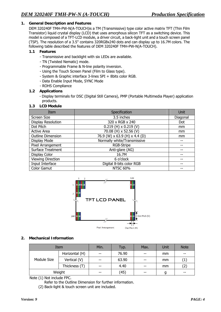#### **1. General Description and Features**

DEM 320240F TMH-PW-N(A-TOUCH)is a TM (Transmissive) type color active matrix TFT (Thin Film Transistor) liquid crystal display (LCD) that uses amorphous silicon TFT as a switching device. This model is composed of a TFT-LCD module, a driver circuit, a back-light unit and a touch screen panel (TSP). The resolution of a 3.5" contains 320RGBx240 dots and can display up to 16.7M colors. The following table described the features of DEM 320240F TMH-PW-N(A-TOUCH).

#### **1.1 Features**

- Transmissive and backlight with six LEDs are available.
- TN (Twisted Nematic) mode.
- Programmable Frame & N-line polarity inversion.
- Using the Touch Screen Panel (Film to Glass type).
- System & Graphic interface 3-lines SPI + 8bits color RGB.
- Data Enable Input Mode, SYNC Mode
- ROHS Compliance

#### **1.2 Applications**

- Display terminals for DSC (Digital Still Camera), PMP (Portable Multimedia Player) application products.

#### **1.3 LCD Module**

| Item                     | Specification                 | Unit     |
|--------------------------|-------------------------------|----------|
| Screen Size              | 3.5 inches                    | Diagonal |
| Display Resolution       | 320 x RGB x 240               | Dot      |
| Dot Pitch                | $0.219$ (H) x 0.219 (V)       | mm       |
| <b>Active Area</b>       | 70.08 (H) x 52.56 (V)         | mm       |
| <b>Outline Dimension</b> | 76.9 (W) x 63.9 (H) x 4.4 (D) | mm       |
| Display Mode             | Normally white/Transmissive   |          |
| Pixel Arrangement        | RGB-Stripe                    |          |
| <b>Surface Treatment</b> | Anti-glare (AG)               |          |
| Display Color            | 16.7M                         |          |
| <b>Viewing Direction</b> | 6 o'clock                     |          |
| Input Interface          | Digital 8-bits color RGB      |          |
| <b>Color Gamut</b>       | <b>NTSC 60%</b>               |          |



#### **2. Mechanical Information**

| Item        |                | Min.  | Typ.  | Max.  | <b>Unit</b> | <b>Note</b>       |
|-------------|----------------|-------|-------|-------|-------------|-------------------|
|             | Horizontal (H) | $- -$ | 76.90 | $- -$ | mm          | --                |
| Module Size | Vertical (V)   | $- -$ | 63.90 | $- -$ | mm          | $\left( 1\right)$ |
|             | Thickness (T)  | $- -$ | 4.40  | $- -$ | mm          | (2)               |
| Weight      |                | $- -$ | (45)  | $- -$ | g           | --                |

Note (1) Not include FPC.

Refer to the Outline Dimension for further information.

(2) Back-light & touch screen unit are included.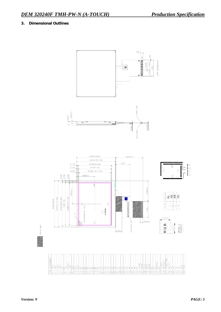# **3. Dimensional Outlines**

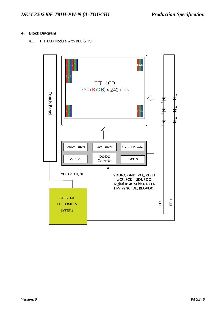# **4. Block Diagram**

4.1 TFT-LCD Module with BLU & TSP

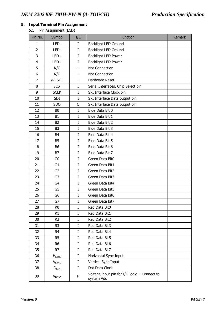# **5. Input Terminal Pin Assignment**

# 5.1 Pin Assignment (LCD)

| Pin No.        | Symbol                   | I/O         | <b>Function</b>                                             | Remark |
|----------------|--------------------------|-------------|-------------------------------------------------------------|--------|
| 1              | LED-                     | I           | <b>Backlight LED Ground</b>                                 |        |
| $\overline{2}$ | LED-                     | $\mathbf I$ | <b>Backlight LED Ground</b>                                 |        |
| 3              | LED+                     | $\rm I$     | <b>Backlight LED Power</b>                                  |        |
| $\overline{4}$ | LED+                     | I           | Backlight LED Power                                         |        |
| 5              | N/C                      | ---         | Not Connection                                              |        |
| 6              | N/C                      |             | Not Connection                                              |        |
| $\overline{7}$ | /RESET                   | I           | <b>Hardware Reset</b>                                       |        |
| 8              | /CS                      | I           | Serial Interfaces, Chip Select pin                          |        |
| 9              | <b>SCLK</b>              | I           | SPI Interface Clock pin                                     |        |
| 10             | <b>SDI</b>               | $\mathbf I$ | SPI Interface Data output pin                               |        |
| 11             | <b>SDO</b>               | O           | SPI Interface Data output pin                               |        |
| 12             | B <sub>0</sub>           | I           | Blue Data Bit 0                                             |        |
| 13             | B <sub>1</sub>           | $\mathbf I$ | Blue Data Bit 1                                             |        |
| 14             | <b>B2</b>                | $\mathbf I$ | Blue Data Bit 2                                             |        |
| 15             | B <sub>3</sub>           | I           | Blue Data Bit 3                                             |        |
| 16             | B <sub>4</sub>           | $\mathbf I$ | Blue Data Bit 4                                             |        |
| 17             | <b>B5</b>                | $\bf I$     | Blue Data Bit 5                                             |        |
| 18             | <b>B6</b>                | $\mathbf I$ | Blue Data Bit 6                                             |        |
| 19             | B7                       | I           | Blue Data Bit 7                                             |        |
| 20             | G0                       | I           | Green Data Bit0                                             |        |
| 21             | G <sub>1</sub>           | I           | Green Data Bit1                                             |        |
| 22             | G <sub>2</sub>           | I           | Green Data Bit2                                             |        |
| 23             | G <sub>3</sub>           | I           | Green Data Bit3                                             |        |
| 24             | G4                       | I           | Green Data Bit4                                             |        |
| 25             | G5                       | I           | Green Data Bit5                                             |        |
| 26             | G6                       | I           | Green Data Bit6                                             |        |
| 27             | G7                       | $\rm I$     | Green Data Bit7                                             |        |
| 28             | R <sub>0</sub>           | $\mathbf I$ | Red Data Bit0                                               |        |
| 29             | R <sub>1</sub>           | I           | Red Data Bit1                                               |        |
| 30             | R <sub>2</sub>           | $\bf{I}$    | Red Data Bit2                                               |        |
| 31             | R <sub>3</sub>           | I           | Red Data Bit3                                               |        |
| 32             | R4                       | I           | Red Data Bit4                                               |        |
| 33             | R <sub>5</sub>           | $\bf{I}$    | Red Data Bit5                                               |        |
| 34             | R <sub>6</sub>           | I           | Red Data Bit6                                               |        |
| 35             | R7                       | $\bf I$     | Red Data Bit7                                               |        |
| 36             | <b>H</b> <sub>SYNC</sub> | I           | Horizontal Sync Input                                       |        |
| 37             | <b>V</b> <sub>SYNC</sub> | I           | Vertical Sync Input                                         |        |
| 38             | $D_{CLK}$                | I           | Dot Data Clock                                              |        |
| 39             | $V_{DDIO}$               | P           | Voltage input pin for I/O logic. - Connect to<br>system Vdd |        |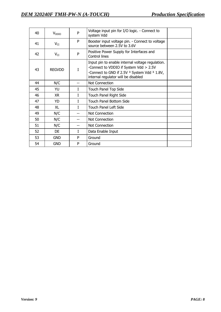| 40 | $V_{DDIO}$    | P  | Voltage input pin for I/O logic. - Connect to<br>system Vdd                                                                                                                                             |  |
|----|---------------|----|---------------------------------------------------------------------------------------------------------------------------------------------------------------------------------------------------------|--|
| 41 | $V_{CI}$      | P  | Booster input voltage pin. - Connect to voltage<br>source between 2.5V to 3.6V                                                                                                                          |  |
| 42 | $V_{CI}$      | P  | Positive Power Supply for Interfaces and<br>Control lines                                                                                                                                               |  |
| 43 | <b>REGVDD</b> | I  | Input pin to enable internal voltage regulation.<br>-Connect to VDDIO if System Vdd > 2.5V<br>-Connect to GND if 2.5V <sup>3</sup> System Vdd <sup>3</sup> 1.8V,<br>internal regulator will be disabled |  |
| 44 | N/C           | -- | Not Connection                                                                                                                                                                                          |  |
| 45 | YU            | L  | Touch Panel Top Side                                                                                                                                                                                    |  |
| 46 | XR.           | L  | Touch Panel Right Side                                                                                                                                                                                  |  |
| 47 | <b>YD</b>     | L  | Touch Panel Bottom Side                                                                                                                                                                                 |  |
| 48 | XL            | L  | Touch Panel Left Side                                                                                                                                                                                   |  |
| 49 | N/C           | -- | Not Connection                                                                                                                                                                                          |  |
| 50 | N/C           |    | Not Connection                                                                                                                                                                                          |  |
| 51 | N/C           | -- | Not Connection                                                                                                                                                                                          |  |
| 52 | <b>DE</b>     | L  | Data Enable Input                                                                                                                                                                                       |  |
| 53 | GND           | P  | Ground                                                                                                                                                                                                  |  |
| 54 | <b>GND</b>    | P  | Ground                                                                                                                                                                                                  |  |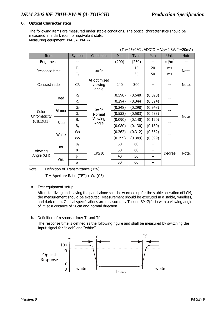# **6. Optical Characteristics**

The following items are measured under stable conditions. The optical characteristics should be measured in a dark room or equivalent state. Measuring equipment: BM-5A, BM-7A,

| $(Ta=25\pm2\degree C$ , VDDIO = V <sub>CI</sub> =2.8V, I <sub>f</sub> =20mA) |       |                       |                                                    |         |             |         |                 |             |
|------------------------------------------------------------------------------|-------|-----------------------|----------------------------------------------------|---------|-------------|---------|-----------------|-------------|
| Item                                                                         |       | Symbol                | Condition                                          | Min     | <b>Type</b> | Max     | Unit            | <b>Note</b> |
| <b>Brightness</b>                                                            |       | --                    |                                                    | (200)   | (250)       |         | $\text{cd/m}^2$ |             |
| Response time                                                                |       | $T_R$                 | $\theta = 0^{\circ}$                               |         | 15          | 20      | ms              | Note.       |
|                                                                              |       | Т <sub>F</sub>        |                                                    | --      | 35          | 50      | <sub>ms</sub>   |             |
| Contrast ratio                                                               |       | <b>CR</b>             | At optimized<br>viewing<br>angle                   | 240     | 300         |         |                 | Note.       |
| Color<br>Chromaticity<br>(CIE1931)                                           | Red   | $R_X$                 |                                                    | (0.590) | (0.640)     | (0.690) |                 |             |
|                                                                              |       | $R_Y$                 |                                                    | (0.294) | (0.344)     | (0.394) |                 |             |
|                                                                              | Green | $G_X$                 | $\theta = 0^{\circ}$<br>Normal<br>Viewing<br>Angle | (0.248) | (0.298)     | (0.348) |                 |             |
|                                                                              |       | $G_Y$                 |                                                    | (0.532) | (0.583)     | (0.633) |                 | Note.       |
|                                                                              | Blue  | $B_X$                 |                                                    | (0.090) | (0.140)     | (0.190) |                 |             |
|                                                                              |       | $B_Y$                 |                                                    | (0.080) | (0.130)     | (0.180) |                 |             |
|                                                                              |       | Wx                    |                                                    | (0.262) | (0.312)     | (0.362) |                 |             |
|                                                                              | White | Wy                    |                                                    | (0.299) | (0.349)     | (0.399) |                 |             |
|                                                                              | Hor.  | $\theta_{\mathsf{R}}$ |                                                    | 50      | 60          |         |                 |             |
| Viewing                                                                      |       | $\theta_L$            | $CR \ge 10$                                        | 50      | 60          | --      |                 | Note.       |
| Angle (6H)                                                                   | Ver.  | φн                    |                                                    | 40      | 50          | --      | Degree          |             |
|                                                                              |       | φL                    |                                                    | 50      | 60          |         |                 |             |

Note : Definition of Transmittance (T%)

 $T =$  Aperture Ratio (TFT) x W<sub>Y</sub> (CF)

a. Test equipment setup

After stabilizing and leaving the panel alone shall be warmed up for the stable operation of LCM, the measurement should be executed. Measurement should be executed in a stable, windless, and dark room. Optical specifications are measured by Topcon BM-7(fast) with a viewing angle of 2° at a distance of 50cm and normal direction.

b. Definition of response time: Tr and Tf

 The response time is defined as the following figure and shall be measured by switching the input signal for "black" and "white".

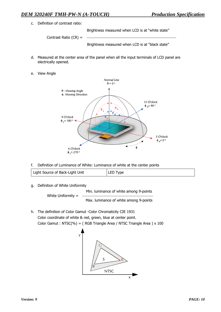c. Definition of contrast ratio:

Brightness measured when LCD is at "white state"

Contrast Ratio (CR) =

Brightness measured when LCD is at "black state"

- d. Measured at the center area of the panel when all the input terminals of LCD panel are electrically opened.
- e. View Angle



f. Definition of Luminance of White: Luminance of white at the center points

|  | Light Source of Back-Light Unit | LED Type |
|--|---------------------------------|----------|
|--|---------------------------------|----------|

g. Definition of White Uniformity

Min. luminance of white among 9-points White Uniformity =

Max. luminance of white among 9-points

h. The definition of Color Gamut -Color Chromaticity CIE 1931 Color coordinate of white & red, green, blue at center point. Color Gamut : NTSC(%) = ( RGB Triangle Area / NTSC Triangle Area ) x 100

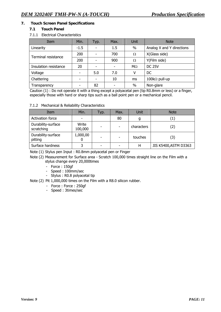# **7. Touch Screen Panel Specifications**

#### **7.1 Touch Panel**

#### 7.1.1 Electrical Characteristics

| Item                  | Min.                     | Typ. | Max.                     | <b>Unit</b>           | <b>Note</b>               |  |
|-----------------------|--------------------------|------|--------------------------|-----------------------|---------------------------|--|
| Linearity             | $-1.5$                   |      | $1.5\,$                  | $\%$                  | Analog X and Y directions |  |
| Terminal resistance   | 200                      |      | 700                      | Ω                     | X(Glass side)             |  |
|                       | 200                      |      | 900                      | Ω                     | Y(Film side)              |  |
| Insulation resistance | 20                       |      | $\overline{\phantom{0}}$ | $M\Omega$             | <b>DC 25V</b>             |  |
| Voltage               | $\overline{\phantom{0}}$ | 5.0  | 7.0                      |                       | <sub>DC</sub>             |  |
| Chattering            |                          | 10   | ms                       | 100k $\Omega$ pull-up |                           |  |
| Transparency          |                          | 82   |                          | $\%$                  | Non-glare                 |  |

Caution (1) : Do not operate it with a thing except a polyacetal pen (tip R0.8mm or less) or a finger, especially those with hard or sharp tips such as a ball point pen or a mechanical pencil.

#### 7.1.2 Mechanical & Reliability Characteristics

| Item                             | Min.             | Typ. | Max.                     | Unit       | <b>Note</b>           |
|----------------------------------|------------------|------|--------------------------|------------|-----------------------|
| Activation force                 |                  |      | 80                       | g          | (1)                   |
| Durability-surface<br>scratching | Write<br>100,000 |      | $\overline{\phantom{a}}$ | characters | (2)                   |
| Durability-surface<br>pitting    | 1,000,00         |      | $\overline{\phantom{0}}$ | touches    | (3)                   |
| Surface hardness                 |                  |      |                          | Н          | JIS K5400, ASTM D3363 |

Note (1) Stylus pen Input : R0.8mm polyacetal pen or Finger

Note (2) Measurement for Surface area - Scratch 100,000 times straight line on the Film with a stylus change every 20,000times

- Force : 150gf
- Speed : 100mm/sec
- Stylus : R0.8 polyacetal tip

Note (2) Pit 1,000,000 times on the Film with a R8.0 silicon rubber.

- Force : Force : 250gf
- Speed : 3times/sec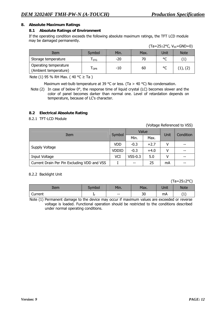## **8. Absolute Maximum Ratings**

# **8.1 Absolute Ratings of Environment**

If the operating condition exceeds the following absolute maximum ratings, the TFT LCD module may be damaged permanently.

|                                                |            |       |      |         | $(1 - 2)$ $-2 - 3$ |
|------------------------------------------------|------------|-------|------|---------|--------------------|
| Item                                           | Symbol     | Min.  | Max. | Unit    | <b>Note</b>        |
| Storage temperature                            | <b>STG</b> | $-20$ | 70   | $\circ$ |                    |
| Operating temperature<br>(Ambient temperature) | I OPR      | -10   | 60   | $\circ$ | $(1)$ , $(2)$      |

 $(Ta=25+2$ °C,  $V_{\text{ss}}=GND=0$ 

Note (1) 95 % RH Max. ( 40 °C ≥ Ta )

Maximum wet-bulb temperature at 39 °C or less. (Ta > 40 °C) No condensation.

Note  $(2)$  In case of below  $0^{\circ}$ , the response time of liquid crystal (LC) becomes slower and the color of panel becomes darker than normal one. Level of retardation depends on temperature, because of LC's character.

# **8.2 Electrical Absolute Rating**

8.2.1 TFT-LCD Module

(Voltage Referenced to VSS)

| Item                                        | Symbol       |           | Value  | Unit | Condition |  |
|---------------------------------------------|--------------|-----------|--------|------|-----------|--|
|                                             |              | Min.      | Max.   |      |           |  |
| Supply Voltage                              | VDD          | $-0.3$    | $+2.7$ |      | --        |  |
|                                             | <b>VDDIO</b> | $-0.3$    | $+4.0$ | v    | --        |  |
| Input Voltage                               | VCI          | $VSS-0.3$ | 5.0    |      | --        |  |
| Current Drain Per Pin Excluding VDD and VSS |              | --        | 25     | mA   | --        |  |

#### 8.2.2 Backlight Unit

(Ta=25±2°C)

| Item    | Svmbol | Min.                     | Max. | Unit | <b>Note</b>       |
|---------|--------|--------------------------|------|------|-------------------|
| Current |        | $\overline{\phantom{m}}$ | 30   | mA   | ' ⊣ ′<br><b>T</b> |

Note (1) Permanent damage to the device may occur if maximum values are exceeded or reverse voltage is loaded. Functional operation should be restricted to the conditions described under normal operating conditions.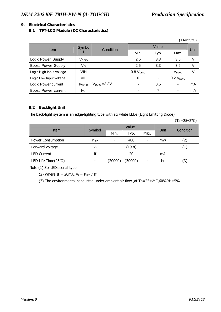#### **9. Electrical Characteristics**

# **9.1 TFT-LCD Module (DC Characteristics)**

|                            |                           |                |                |       |                   | $(TA=25^{\circ}C)$ |
|----------------------------|---------------------------|----------------|----------------|-------|-------------------|--------------------|
| Item                       | Symbo                     | Condition      |                | Value |                   | Unit               |
|                            |                           |                | Min.           | Typ.  | Max.              |                    |
| Logic Power Supply         | V <sub>DDIO</sub>         |                | 2.5            | 3.3   | 3.6               | V                  |
| <b>Boost Power Supply</b>  | $V_{CI}$                  |                | 2.5            | 3.3   | 3.6               | V                  |
| Logic High Input voltage   | VIH                       |                | $0.8 V_{DDIO}$ |       | V <sub>DDIO</sub> | V                  |
| Logic Low Input voltage    | VIL                       |                | $\Omega$       |       | $0.2 V_{DDIO}$    |                    |
| Logic Power current        | <b>IV</b> <sub>DDIO</sub> | $VDDIO = 3.3V$ |                | 0.5   | $\blacksquare$    | mA                 |
| <b>Boost Power current</b> | $IV_{CI}$                 |                |                | 7     | -                 | mA                 |

#### **9.2 Backlight Unit**

The back-light system is an edge-lighting type with six white LEDs (Light Emitting Diode).

(Ta=25±2°C)

|                     |                          |                          | Value   |      |      | Condition         |  |
|---------------------|--------------------------|--------------------------|---------|------|------|-------------------|--|
| Item                | Symbol                   | Min.                     | Typ.    | Max. | Unit |                   |  |
| Power Consumption   | $P_{LED}$                | $\overline{\phantom{a}}$ | 408     |      | mW   | (2)               |  |
| Forward voltage     | $V_f$                    | $\overline{\phantom{0}}$ | (19.8)  |      |      | $\left( 1\right)$ |  |
| <b>LED Current</b>  | Ιf                       | $\overline{\phantom{0}}$ | 20      |      | mA   |                   |  |
| LED Life Time(25°C) | $\overline{\phantom{0}}$ | (20000)                  | (30000) | -    | hr   | (3)               |  |

Note (1) Six LEDs serial type.

(2) Where If = 20mA,  $V_f = P_{LED} /$  If

(3) The environmental conducted under ambient air flow ,at Ta=25±2°C,60%RH±5%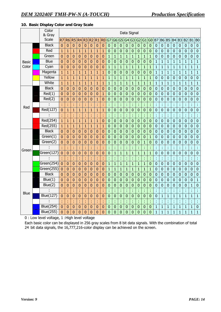# **10. Basic Display Color and Gray Scale**

|              | Color<br>& Gray  |                | Data Signal    |                |                |                |                |                |                |                  |                |                  |                |                |                |                |                |                |                  |                  |                  |                |                |                |                |
|--------------|------------------|----------------|----------------|----------------|----------------|----------------|----------------|----------------|----------------|------------------|----------------|------------------|----------------|----------------|----------------|----------------|----------------|----------------|------------------|------------------|------------------|----------------|----------------|----------------|----------------|
|              | <b>Scale</b>     | R7             | R <sub>6</sub> | R <sub>5</sub> | R4 R3          |                | R <sub>2</sub> | R1             | R <sub>0</sub> | G7               | G <sub>6</sub> | G <sub>5</sub>   | G <sub>4</sub> | G <sub>3</sub> | G <sub>2</sub> | G1             | G0             | B7             | <b>B6</b>        | <b>B5</b>        | <b>B4</b>        | <b>B3</b>      | B <sub>2</sub> | B <sub>1</sub> | B <sub>0</sub> |
|              | <b>Black</b>     | $\overline{0}$ | $\mathbf{0}$   | $\mathbf{0}$   | $\overline{0}$ | $\mathbf 0$    | $\overline{0}$ | $\mathbf 0$    | $\mathbf{0}$   | $\mathbf 0$      | $\mathbf 0$    | $\mathbf{0}$     | $\mathbf 0$    | $\mathbf 0$    | $\mathbf 0$    | $\mathbf 0$    | $\mathbf 0$    | $\mathbf 0$    | $\mathbf 0$      | $\mathbf 0$      | $\mathbf 0$      | $\mathbf 0$    | $\mathbf 0$    | $\mathbf 0$    | $\mathbf 0$    |
|              | Red              | $\mathbf{1}$   | $\mathbf{1}$   | $\mathbf{1}$   | $\mathbf{1}$   | $\mathbf{1}$   | $\mathbf{1}$   | $\mathbf{1}$   | $\mathbf{1}$   | $\boldsymbol{0}$ | $\mathbf{0}$   | $\mathbf 0$      | $\mathbf{0}$   | $\mathbf 0$    | $\bf{0}$       | $\overline{0}$ | $\pmb{0}$      | $\bf{0}$       | $\bf{0}$         | $\mathbf 0$      | $\mathbf 0$      | $\mathbf 0$    | $\mathbf 0$    | $\mathbf 0$    | $\bf{0}$       |
|              | Green            | 0              | $\mathbf{0}$   | $\mathbf{0}$   | $\overline{0}$ | $\overline{0}$ | $\overline{0}$ | $\overline{0}$ | $\overline{0}$ | $\overline{1}$   | $\overline{1}$ | $\mathbf{1}$     | $\overline{1}$ | $\overline{1}$ | $\mathbf{1}$   | $\overline{1}$ | $\mathbf{1}$   | $\mathbf 0$    | $\overline{0}$   | $\mathbf 0$      | $\mathbf 0$      | $\overline{0}$ | $\overline{0}$ | $\mathbf 0$    | $\overline{0}$ |
| <b>Basic</b> | <b>Blue</b>      | 0              | $\mathbf{0}$   | $\mathbf{0}$   | $\mathbf{0}$   | $\mathbf{0}$   | $\mathbf 0$    | $\bf{0}$       | $\mathbf{0}$   | $\mathbf{0}$     | $\mathbf 0$    | $\mathbf{0}$     | $\mathbf 0$    | $\mathbf 0$    | $\mathbf 0$    | $\mathbf 0$    | $\mathbf 0$    | $\mathbf{1}$   | $\mathbf{1}$     | $\overline{1}$   | $\mathbf{1}$     | $\mathbf{1}$   | $\mathbf{1}$   | $\mathbf{1}$   | $\overline{1}$ |
| Color        | Cyan             | 0              | $\bf{0}$       | $\mathbf{0}$   | $\mathbf{0}$   | $\bf{0}$       | $\bf{0}$       | $\bf{0}$       | $\bf{0}$       | $\mathbf{1}$     | $\mathbf{1}$   | $\mathbf{1}$     | $\mathbf{1}$   | $\mathbf{1}$   | $\mathbf{1}$   | $\mathbf{1}$   | $\mathbf{1}$   | $\mathbf{1}$   | $\mathbf{1}$     | $\mathbf{1}$     | $\mathbf{1}$     | $\mathbf{1}$   | $\mathbf{1}$   | $\mathbf{1}$   | $\mathbf{1}$   |
|              | Magenta          | 1              | 1              | $\mathbf{1}$   | $\mathbf{1}$   | $\mathbf{1}$   | $\overline{1}$ | $\mathbf{1}$   | $\overline{1}$ | $\mathbf 0$      | $\mathbf 0$    | $\bf{0}$         | 0              | $\overline{0}$ | $\bf{0}$       | $\overline{0}$ | $\overline{0}$ | $\mathbf{1}$   | $\overline{1}$   | $\mathbf{1}$     | $\overline{1}$   | $\mathbf{1}$   | $\mathbf{1}$   | $\mathbf{1}$   | $\overline{1}$ |
|              | Yellow           | $\mathbf{1}$   | 1              | $\mathbf{1}$   | 1              | $\mathbf{1}$   | $\mathbf{1}$   | 1              | $\mathbf{1}$   | $\mathbf{1}$     | $\overline{1}$ | $\mathbf{1}$     | $\mathbf{1}$   | $\mathbf{1}$   | $\mathbf{1}$   | $\mathbf{1}$   | $\mathbf{1}$   | $\mathbf 0$    | $\pmb{0}$        | $\mathbf 0$      | $\bf{0}$         | $\bf{0}$       | $\mathbf 0$    | $\mathbf 0$    | $\bf{0}$       |
|              | White            | $\mathbf{1}$   | $\mathbf{1}$   | $\mathbf{1}$   | $\mathbf{1}$   | $\mathbf{1}$   | $\mathbf{1}$   | $\mathbf{1}$   | $\mathbf{1}$   | $\mathbf{1}$     | $\overline{1}$ | $\mathbf{1}$     | $\mathbf{1}$   | $\mathbf{1}$   | $\mathbf{1}$   | $\mathbf{1}$   | $\mathbf{1}$   | $\mathbf{1}$   | $\mathbf{1}$     | $\mathbf{1}$     | $\mathbf{1}$     | $\mathbf{1}$   | $\mathbf{1}$   | $\mathbf{1}$   | $\overline{1}$ |
|              | <b>Black</b>     | $\overline{0}$ | $\bf{0}$       | $\overline{0}$ | $\mathbf 0$    | $\overline{0}$ | $\bf{0}$       | $\overline{0}$ | $\bf{0}$       | $\mathbf 0$      | $\overline{0}$ | $\mathbf 0$      | $\overline{0}$ | $\overline{0}$ | $\overline{0}$ | $\bf{0}$       | $\mathbf 0$    | $\mathbf 0$    | $\mathbf 0$      | $\mathbf 0$      | $\mathbf 0$      | $\mathbf 0$    | $\mathbf 0$    | $\mathbf 0$    | $\mathbf 0$    |
|              | Red(1)           | $\overline{0}$ | $\overline{0}$ | $\mathbf 0$    | $\overline{0}$ | $\overline{0}$ | $\overline{0}$ | $\overline{0}$ | $\mathbf{1}$   | $\mathbf 0$      | $\mathbf 0$    | $\mathbf 0$      | $\mathbf 0$    | $\overline{0}$ | $\overline{0}$ | $\overline{0}$ | $\mathbf 0$    | $\mathbf 0$    | $\mathbf 0$      | $\mathbf 0$      | $\mathbf 0$      | $\mathbf 0$    | $\mathbf 0$    | $\mathbf 0$    | $\mathbf 0$    |
|              | Red(2)           | 0              | $\mathbf{0}$   | $\bf{0}$       | $\overline{0}$ | $\mathbf{0}$   | $\overline{0}$ | $\mathbf{1}$   | $\bf{0}$       | $\mathbf 0$      | $\mathbf 0$    | $\mathbf 0$      | $\mathbf 0$    | $\mathbf 0$    | $\overline{0}$ | $\overline{0}$ | $\mathbf 0$    | $\mathbf 0$    | $\mathbf 0$      | $\overline{0}$   | $\overline{0}$   | $\mathbf 0$    | $\mathbf 0$    | $\mathbf 0$    | $\overline{0}$ |
| Red          |                  | t              | t              | t,             |                | t              | t              | t              | t              | Ì                | t              | t                | ţ.             |                | Í              | t              |                | t              | t                | ţ,               | t                | t              | t              | ł              | ĵ.             |
|              | Red(127)         | 0              | $\mathbf{1}$   | $\mathbf{1}$   | $\mathbf{1}$   | $\mathbf{1}$   | $\mathbf{1}$   | $\mathbf{1}$   | $\mathbf{1}$   | $\overline{0}$   | $\mathbf{0}$   | $\boldsymbol{0}$ | $\mathbf{0}$   | $\mathbf{0}$   | $\overline{0}$ | $\overline{0}$ | 0              | $\bf{0}$       | 0                | $\boldsymbol{0}$ | $\mathbf 0$      | $\mathbf 0$    | $\mathbf{0}$   | $\overline{0}$ | $\mathbf 0$    |
|              |                  | t              | t              | t              | t              | t              | t              | t              | t              | t                | t              | ÷                | t              | t              | ř,             | t              | t              | t              | t                | ł                | t                | t              | t              | t              | t              |
|              | Red(254)         | $\overline{1}$ | $\mathbf{1}$   | $\mathbf{1}$   | $\mathbf{1}$   | $\mathbf{1}$   | $\mathbf{1}$   | $\mathbf{1}$   | $\bf{0}$       | $\pmb{0}$        | $\mathbf 0$    | $\mathbf 0$      | $\mathbf 0$    | $\bf{0}$       | $\mathbf 0$    | $\overline{0}$ | $\bf{0}$       | $\mathbf 0$    | $\boldsymbol{0}$ | $\overline{0}$   | $\mathbf{0}$     | $\mathbf 0$    | $\bf{0}$       | $\bf{0}$       | $\mathbf 0$    |
|              | Red(255)         | $\overline{1}$ | $\mathbf{1}$   | $\mathbf{1}$   | $\mathbf{1}$   | $\mathbf{1}$   | $\mathbf{1}$   | $\mathbf{1}$   | $\mathbf{1}$   | $\mathbf 0$      | $\overline{0}$ | $\mathbf 0$      | $\overline{0}$ | $\mathbf{0}$   | $\overline{0}$ | $\overline{0}$ | $\pmb{0}$      | $\mathbf 0$    | $\mathbf 0$      | $\mathbf 0$      | $\boldsymbol{0}$ | $\mathbf 0$    | $\mathbf 0$    | $\mathbf 0$    | $\mathbf{0}$   |
|              | <b>Black</b>     | $\bf{0}$       | $\bf{0}$       | $\mathbf{0}$   | $\mathbf{0}$   | $\overline{0}$ | $\mathbf{0}$   | $\overline{0}$ | $\mathbf 0$    | $\mathbf 0$      | $\overline{0}$ | $\mathbf 0$      | $\mathbf 0$    | $\mathbf 0$    | $\overline{0}$ | $\mathbf 0$    | $\mathbf 0$    | $\mathbf 0$    | $\mathbf 0$      | $\mathbf 0$      | $\mathbf 0$      | $\overline{0}$ | $\mathbf 0$    | $\mathbf 0$    | $\overline{0}$ |
|              | Green(1)         | $\mathbf{0}$   | $\bf{0}$       | $\mathbf{0}$   | $\mathbf{0}$   | $\mathbf{0}$   | $\bf{0}$       | $\mathbf{0}$   | $\mathbf{0}$   | $\mathbf{0}$     | $\mathbf 0$    | $\mathbf{0}$     | $\mathbf{0}$   | $\mathbf 0$    | $\mathbf 0$    | $\mathbf 0$    | $\mathbf{1}$   | $\mathbf 0$    | $\mathbf 0$      | $\mathbf 0$      | $\mathbf 0$      | $\mathbf 0$    | $\mathbf 0$    | $\overline{0}$ | $\mathbf 0$    |
|              | Green(2)         | $\overline{0}$ | $\mathbf{0}$   | $\bf{0}$       | $\overline{0}$ | $\bf{0}$       | $\bf{0}$       | 0              | $\bf{0}$       | $\overline{0}$   | $\bf{0}$       | $\overline{0}$   | 0              | $\overline{0}$ | $\bf{0}$       | $\mathbf{1}$   | 0              | $\overline{0}$ | $\mathbf 0$      | $\bf{0}$         | $\bf{0}$         | 0              | $\overline{0}$ | 0              | $\mathbf 0$    |
| Green        |                  | ÷              | t              | t              | t              | t              | t              | t              | t              | t                | ł              | ċ                | t              |                | ř,             | ċ              |                | t              | t                | ŧ                | t                | ř,             | t              | t              | t              |
|              | Green(127)       | $\overline{0}$ | 0              | $\bf{0}$       | $\bf{0}$       | $\mathbf{0}$   | $\bf{0}$       | 0              | $\bf{0}$       | $\mathbf 0$      | $\mathbf{1}$   | $\mathbf{1}$     | $\mathbf{1}$   | $\mathbf{1}$   | $\mathbf{1}$   | $\mathbf{1}$   | $\mathbf{1}$   | $\mathbf 0$    | $\bf{0}$         | $\mathbf 0$      | $\mathbf{0}$     | $\mathbf 0$    | $\mathbf 0$    | $\mathbf 0$    | $\bf{0}$       |
|              |                  |                | t              | ł,             | t              | t,             | t              | t              | t              |                  | t              | Ì                | t,             |                | t,             | t              |                | t              | Ì                | ţ,               | t                | ţ.             | ¢              | t              | t              |
|              | Green(254)       | $\overline{0}$ | $\mathbf{0}$   | $\overline{0}$ | $\mathbf{0}$   | $\overline{0}$ | $\overline{0}$ | $\mathbf 0$    | $\overline{0}$ | $\mathbf{1}$     | $\overline{1}$ | $\mathbf{1}$     | $\mathbf{1}$   | $\overline{1}$ | $\mathbf{1}$   | $\mathbf{1}$   | $\overline{0}$ | $\mathbf 0$    | $\mathbf 0$      | $\mathbf 0$      | $\mathbf 0$      | $\overline{0}$ | $\mathbf 0$    | $\mathbf 0$    | $\mathbf 0$    |
|              | Green(255)       | $\bf{0}$       | $\mathbf{0}$   | $\mathbf{0}$   | $\mathbf{0}$   | $\bf{0}$       | $\bf{0}$       | $\bf{0}$       | $\bf{0}$       | $\mathbf{1}$     | $\mathbf{1}$   | $\mathbf{1}$     | $\mathbf{1}$   | $\mathbf{1}$   | $\mathbf{1}$   | $\mathbf{1}$   | $\mathbf{1}$   | $\mathbf 0$    | $\mathbf 0$      | $\mathbf 0$      | $\bf{0}$         | $\mathbf 0$    | $\mathbf 0$    | 0              | $\overline{0}$ |
|              | <b>Black</b>     | 0              | $\mathbf{0}$   | $\mathbf{0}$   | $\mathbf{0}$   | $\bf{0}$       | $\bf{0}$       | $\bf{0}$       | $\bf{0}$       | $\mathbf{0}$     | $\mathbf 0$    | $\mathbf 0$      | $\bf{0}$       | $\mathbf 0$    | $\pmb{0}$      | $\bf{0}$       | $\mathbf 0$    | $\mathbf 0$    | $\mathbf 0$      | $\mathbf 0$      | $\mathbf 0$      | $\mathbf 0$    | $\mathbf 0$    | $\mathbf 0$    | $\overline{0}$ |
|              | Blue(1)          | 0              | 0              | $\overline{0}$ | $\mathbf{0}$   | $\bf{0}$       | $\overline{0}$ | 0              | $\bf{0}$       | $\overline{0}$   | $\mathbf{0}$   | $\mathbf 0$      | $\mathbf{0}$   | $\overline{0}$ | $\bf{0}$       | $\overline{0}$ | $\bf{0}$       | $\mathbf 0$    | $\overline{0}$   | $\mathbf 0$      | $\mathbf 0$      | $\mathbf 0$    | $\mathbf 0$    | $\overline{0}$ | $\overline{1}$ |
|              | Blue(2)          | 0              | 0              | $\bf{0}$       | $\mathbf 0$    | $\mathbf{0}$   | $\overline{0}$ | 0              | $\bf{0}$       | $\mathbf 0$      | $\overline{0}$ | $\bf{0}$         | $\mathbf 0$    | $\overline{0}$ | $\overline{0}$ | $\overline{0}$ | 0              | $\mathbf 0$    | 0                | $\bf{0}$         | $\mathbf 0$      | $\mathbf 0$    | $\overline{0}$ | $\mathbf{1}$   | $\mathbf 0$    |
| Blue         |                  | t              | t              | t              |                | t              | t              | t              | t              | t                | t              | t                | t,             | t              | ř,             | t              | t              | t              | t                | ŧ                | t                | ř,             | t              | t              | t              |
|              | <b>Blue(127)</b> | $\overline{0}$ | $\bf{0}$       | $\bf{0}$       | $\mathbf{0}$   | $\bf{0}$       | $\bf{0}$       | $\mathbf{0}$   | $\bf{0}$       | $\mathbf 0$      | $\mathbf 0$    | $\mathbf{0}$     | $\mathbf 0$    | $\mathbf 0$    | $\bf{0}$       | 0              | $\mathbf 0$    | $\mathbf 0$    | $\overline{1}$   | $\mathbf{1}$     | $\mathbf{1}$     | $\mathbf{1}$   | $\mathbf{1}$   | $\mathbf{1}$   | $\overline{1}$ |
|              |                  | t              | t              | ł,             | t              | ł,             | ċ              | t              | ċ              | t                | ł,             | t                | ř,             | ċ              | ř,             | ţ.             | t              | t              | ř,               | ł                | t                | ř,             | ċ              | ł,             | ł,             |
|              | <b>Blue(254)</b> | $\mathbf{0}$   | $\bf{0}$       | $\mathbf{0}$   | $\bf{0}$       | $\bf{0}$       | $\bf{0}$       | $\bf{0}$       | $\bf{0}$       | $\bf{0}$         | $\mathbf 0$    | $\bf{0}$         | $\mathbf 0$    | $\mathbf 0$    | $\mathbf 0$    | $\bf{0}$       | $\bf{0}$       | $\mathbf{1}$   | $\mathbf{1}$     | $\overline{1}$   | $\mathbf{1}$     | $\mathbf{1}$   | $\mathbf{1}$   | $\overline{1}$ | $\pmb{0}$      |
|              | <b>Blue(255)</b> | 0              | $\mathbf{0}$   | 0              | $\overline{0}$ | $\bf{0}$       | $\bf{0}$       | 0              | 0              | 0                | $\mathbf 0$    | 0                | 0              | $\overline{0}$ | $\bf{0}$       | 0              | 0              | 1              | 1                | $\mathbf{1}$     | $\mathbf{1}$     | 1              | $\mathbf{1}$   | $\mathbf{1}$   | $\overline{1}$ |

0 : Low level voltage, 1 :High level voltage

Each basic color can be displayed in 256 gray scales from 8 bit data signals. With the combination of total 24 bit data signals, the 16,777,216-color display can be achieved on the screen.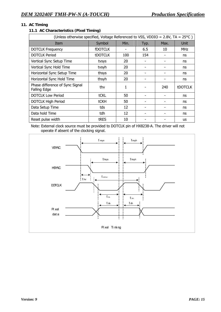# **11. AC Timing**

# **11.1 AC Characteristics (Pixel Timing)**

| (Unless otherwise specified, Voltage Referenced to VSS, VDDIO = $2.8V$ , TA = $25^{\circ}$ C) |                |      |      |      |                |  |  |  |  |
|-----------------------------------------------------------------------------------------------|----------------|------|------|------|----------------|--|--|--|--|
| Item                                                                                          | Symbol         | Min. | Typ. | Max. | Unit           |  |  |  |  |
| <b>DOTCLK Frequency</b>                                                                       | <b>fDOTCLK</b> |      | 6.5  | 10   | <b>MHz</b>     |  |  |  |  |
| <b>DOTCLK Period</b>                                                                          | <b>tDOTCLK</b> | 100  | 154  |      | ns             |  |  |  |  |
| Vertical Sync Setup Time                                                                      | tvsys          | 20   |      |      | ns             |  |  |  |  |
| Vertical Sync Hold Time                                                                       | tvsyh          | 20   |      |      | ns             |  |  |  |  |
| Horizontal Sync Setup Time                                                                    | thsys          | 20   |      |      | ns             |  |  |  |  |
| Horizontal Sync Hold Time                                                                     | thsyh          | 20   |      |      | ns             |  |  |  |  |
| Phase difference of Sync Signal<br><b>Falling Edge</b>                                        | thy            | 1    |      | 240  | <b>tDOTCLK</b> |  |  |  |  |
| <b>DOTCLK Low Period</b>                                                                      | tCKL           | 50   |      |      | ns             |  |  |  |  |
| <b>DOTCLK High Period</b>                                                                     | <b>tCKH</b>    | 50   |      |      | ns             |  |  |  |  |
| Data Setup Time                                                                               | tds            | 12   |      |      | ns             |  |  |  |  |
| Data hold Time                                                                                | tdh            | 12   | -    |      | ns             |  |  |  |  |
| Reset pulse width                                                                             | tres           | 10   |      |      | <b>us</b>      |  |  |  |  |

Note: External clock source must be provided to DOTCLK pin of HX8238-A. The driver will not operate if absent of the clocking signal.

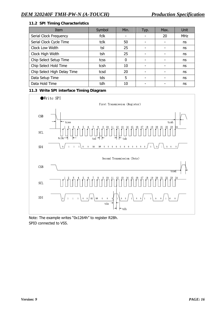# **11.2 SPI Timing Characteristics**

| Item                        | Symbol | Min.     | Typ. | Max. | Unit       |
|-----------------------------|--------|----------|------|------|------------|
| Serial Clock Frequency      | fclk   |          | ٠    | 20   | <b>MHz</b> |
| Serial Clock Cycle Time     | tclk   | 50       |      |      | ns         |
| Clock Low Width             | tsl    | 25       |      |      | ns         |
| Clock High Width            | tsh    | 25       |      |      | ns         |
| Chip Select Setup Time      | tcss   | $\Omega$ |      |      | ns         |
| Chip Select Hold Time       | tcsh   | 10       |      |      | ns         |
| Chip Select High Delay Time | tcsd   | 20       |      |      | ns         |
| Data Setup Time             | tds    | 5        |      |      | ns         |
| Data Hold Time              | tdh    | 10       |      |      | ns         |

## **11.3 Write SPI interface Timing Diagram**



Note: The example writes "0x1264h" to register R28h. SPID connected to VSS.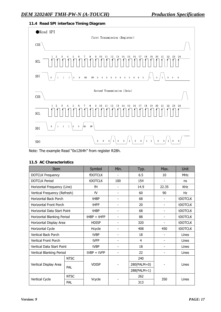#### **11.4 Read SPI interface Timing Diagram**



Note: The example Read "0x1264h" from register R28h.

| Item                         |             | Symbol            | Min.                               | Typ.           | Max.                         | Unit           |  |
|------------------------------|-------------|-------------------|------------------------------------|----------------|------------------------------|----------------|--|
| <b>DOTCLK Frequency</b>      |             | <b>fDOTCLK</b>    |                                    | 6.5            | 10                           | <b>MHz</b>     |  |
| <b>DOTCLK Period</b>         |             | <b>tDOTCLK</b>    | 100                                | 154            | $\overline{\phantom{a}}$     | ns             |  |
| Horizontal Frequency (Line)  |             | fH                |                                    | 14.9           | 22.35                        | <b>KHz</b>     |  |
| Vertical Frequency (Refresh) |             | fV                | $\qquad \qquad \blacksquare$       | 60             | 90                           | Hz             |  |
| <b>Horizontal Back Porch</b> |             | tHBP              |                                    | 68             | $\qquad \qquad \blacksquare$ | <b>tDOTCLK</b> |  |
| Horizontal Front Porch       |             | <b>tHFP</b>       | $\qquad \qquad \blacksquare$       | 20             | $\qquad \qquad \blacksquare$ | <b>tDOTCLK</b> |  |
| Horizontal Data Start Point  |             | tHBP              | $\overline{\phantom{0}}$           | 68             | $\overline{\phantom{a}}$     | <b>tDOTCLK</b> |  |
| Horizontal Blanking Period   |             | $t$ HBP + $t$ HFP | 88<br>$\qquad \qquad \blacksquare$ |                | $\overline{\phantom{0}}$     | <b>tDOTCLK</b> |  |
| Horizontal Display Area      |             | <b>HDISP</b>      | $\overline{\phantom{0}}$           | 320            |                              | <b>tDOTCLK</b> |  |
| Horizontal Cycle             |             | Hcycle            | 408<br>$\overline{a}$              |                | 450                          | <b>tDOTCLK</b> |  |
| <b>Vertical Back Porch</b>   |             | tVBP              | 18<br>$\overline{\phantom{0}}$     |                |                              | Lines          |  |
| Vertical Front Porch         |             | tVFP              | $\overline{a}$                     | $\overline{a}$ | $\overline{\phantom{a}}$     | Lines          |  |
| Vertical Data Start Point    |             | tVBP              | $\qquad \qquad \blacksquare$       | 18             | $\overline{\phantom{a}}$     | Lines          |  |
| Vertical Blanking Period     |             | $tVBP + tVFP$     |                                    | 22             |                              | Lines          |  |
|                              | <b>NTSC</b> |                   |                                    | 240            |                              |                |  |
| Vertical Display Area        | PAL         | <b>VDISP</b>      |                                    | 280(PALM=0)    |                              | Lines          |  |
|                              |             |                   |                                    | 288(PALM=1)    |                              |                |  |
|                              | <b>NTSC</b> |                   |                                    | 262            |                              | Lines          |  |
| Vertical Cycle               | PAL         | Vcycle            |                                    | 313            | 350                          |                |  |

#### **11.5 AC Characteristics**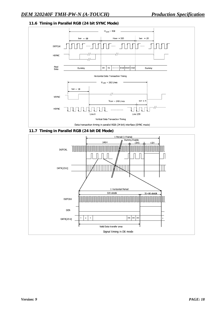#### **11.6 Timing in Parallel RGB (24 bit SYNC Mode)**



#### **11.7 Timing in Parallel RGB (24 bit DE Mode)**

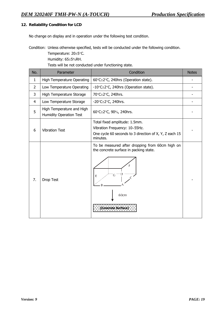#### **12. Reliability Condition for LCD**

No change on display and in operation under the following test condition.

Condition: Unless otherwise specified, tests will be conducted under the following condition.

 Temperature: 20±5°C. Humidity: 65±5%RH.

Tests will be not conducted under functioning state.

| No.            | Parameter                                                   | Condition                                                                                                                              | <b>Notes</b> |  |
|----------------|-------------------------------------------------------------|----------------------------------------------------------------------------------------------------------------------------------------|--------------|--|
| $\mathbf{1}$   | <b>High Temperature Operating</b>                           | 60°C±2°C, 240hrs (Operation state).                                                                                                    |              |  |
| $\overline{2}$ | Low Temperature Operating                                   | -10°C±2°C, 240hrs (Operation state).                                                                                                   |              |  |
| 3              | High Temperature Storage                                    | 70°C±2°C, 240hrs.                                                                                                                      |              |  |
| 4              | Low Temperature Storage                                     | -20 $\textdegree$ C $\pm$ 2 $\textdegree$ C, 240hrs.                                                                                   |              |  |
| 5              | High Temperature and High<br><b>Humidity Operation Test</b> | 60°C±2°C, 90%, 240hrs.                                                                                                                 |              |  |
| 6              | <b>Vibration Test</b>                                       | Total fixed amplitude: 1.5mm.<br>Vibration Frequency: 10~55Hz.<br>One cycle 60 seconds to 3 direction of X, Y, Z each 15<br>minutes.   |              |  |
| 7.             | Drop Test                                                   | To be measured after dropping from 60cm high on<br>the concrete surface in packing state.<br>F<br>E<br>60cm<br><b>Concrete Surface</b> |              |  |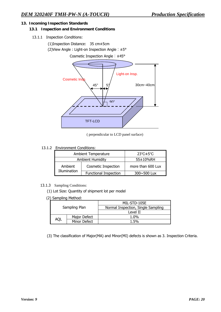#### **13. Incoming Inspection Standards**

#### **13.1 Inspection and Environment Conditions**

- 13.1.1 Inspection Conditions:
	- (1)Inspection Distance: 35 cm±5cm (2)View Angle : Light-on Inspection Angle︰±5°

Cosmetic Inspection Angle︰±45°



( perpendicular to LCD panel surface)

#### 13.1.2 Environment Conditions:

|              | <b>Ambient Temperature</b>   | $23^{\circ}$ C $\pm$ 5 $^{\circ}$ C |
|--------------|------------------------------|-------------------------------------|
|              | <b>Ambient Humidity</b>      | 55±10%RH                            |
| Ambient      | Cosmetic Inspection          | more than 600 Lux                   |
| Illumination | <b>Functional Inspection</b> | 300~500 Lux                         |

#### 13.1.3 Sampling Conditions:

(1) Lot Size: Quantity of shipment lot per model

(2) Sampling Method:

|     |               | MIL-STD-105E                       |  |  |  |  |
|-----|---------------|------------------------------------|--|--|--|--|
|     | Sampling Plan | Normal Inspection, Single Sampling |  |  |  |  |
|     |               | Level II                           |  |  |  |  |
|     | Major Defect  | 1.0%                               |  |  |  |  |
| AQI | Minor Defect  | 1.5%                               |  |  |  |  |

(3) The classification of Major(MA) and Minor(MI) defects is shown as 3. Inspection Criteria.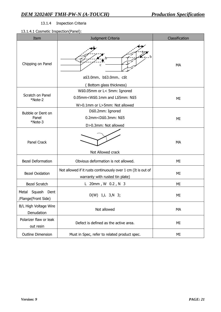# 13.1.4Inspection Criteria

# 13.1.4.1 Cosmetic Inspection(Panel):

| Item                                                                     | Judgment Criteria                                                                               | Classification |  |  |  |  |
|--------------------------------------------------------------------------|-------------------------------------------------------------------------------------------------|----------------|--|--|--|--|
| Chipping on Panel                                                        | a≦3.0mm, b≦3.0mm, c≦t<br>Bottom glass thickness)                                                | MA             |  |  |  |  |
| Scratch on Panel<br>*Note-2                                              | MI                                                                                              |                |  |  |  |  |
| Bubble or Dent on<br>Panel<br>*Note-3                                    | ΜI                                                                                              |                |  |  |  |  |
| <b>Panel Crack</b><br>Not Allowed crack                                  |                                                                                                 | MA             |  |  |  |  |
| <b>Bezel Deformation</b>                                                 | Obvious deformation is not allowed.                                                             | ΜI             |  |  |  |  |
| <b>Bezel Oxidation</b>                                                   | Not allowed if it rusts continuously over 1 cm (It is out of<br>warranty with rusted tin plate) | ΜI             |  |  |  |  |
| Bezel Scratch                                                            | L 20mm, W 0.2, N 3                                                                              | ΜI             |  |  |  |  |
| Squash Dent<br>Metal<br>/Flange(Front Side)                              | $D(W)$ 1, L 3, N 3;                                                                             | МI             |  |  |  |  |
| B/L High Voltage Wire<br>Denudation                                      | Not allowed                                                                                     |                |  |  |  |  |
| Polarizer flaw or leak<br>out resin                                      | Defect is defined as the active area.                                                           |                |  |  |  |  |
| <b>Outline Dimension</b><br>Must in Spec, refer to related product spec. |                                                                                                 | ΜI             |  |  |  |  |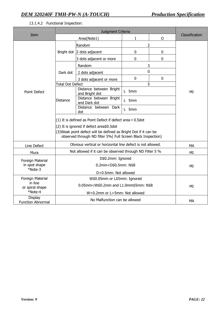#### 13.1.4.2 Functional Inspection:

|                                                           | Judgment Criteria                                                                                                                                                                                                                        |                                           |       |              |                |  |
|-----------------------------------------------------------|------------------------------------------------------------------------------------------------------------------------------------------------------------------------------------------------------------------------------------------|-------------------------------------------|-------|--------------|----------------|--|
| Item                                                      |                                                                                                                                                                                                                                          | Area(Note1)                               | L     | $\mathsf{O}$ | Classification |  |
| <b>Point Defect</b>                                       | Bright dot                                                                                                                                                                                                                               | Random                                    | 2     |              |                |  |
|                                                           |                                                                                                                                                                                                                                          | 2 dots adjacent                           | 0     | $\bf{0}$     |                |  |
|                                                           |                                                                                                                                                                                                                                          | 3 dots adjacent or more                   | 0     | $\mathbf 0$  |                |  |
|                                                           | Dark dot                                                                                                                                                                                                                                 | Random                                    | 3     |              |                |  |
|                                                           |                                                                                                                                                                                                                                          | 2 dots adjacent                           | 0     |              |                |  |
|                                                           |                                                                                                                                                                                                                                          | 3 dots adjacent or more                   | 0     | $\mathbf 0$  |                |  |
|                                                           | <b>Total Dot Defect</b>                                                                                                                                                                                                                  |                                           | 5     |              |                |  |
|                                                           | <b>Distance</b>                                                                                                                                                                                                                          | Distance between Bright<br>and Bright dot | L 5mm |              | MI             |  |
|                                                           |                                                                                                                                                                                                                                          | Distance between Bright<br>and Dark dot   | L 5mm |              |                |  |
|                                                           |                                                                                                                                                                                                                                          | Distance between Dark<br>dot              | L 5mm |              |                |  |
|                                                           | (1) It is defined as Point Defect if defect area > 0.5dot<br>(2) It is ignored if defect area≦0.5dot<br>(3) Weak point defect will be defined as Bright Dot if it can be<br>observed through ND filter 5%( Full Screen Black Inspection) |                                           |       |              |                |  |
| Line Defect                                               | Obvious vertical or horizontal line defect is not allowed.                                                                                                                                                                               |                                           |       |              | <b>MA</b>      |  |
| Mura                                                      | Not allowed if it can be observed through ND Filter 5 %                                                                                                                                                                                  |                                           |       |              | ΜI             |  |
| Foreign Material<br>in spot shape<br>*Note-3              | D≦0.2mm: Ignored                                                                                                                                                                                                                         |                                           |       |              |                |  |
|                                                           | 0.2mm <d≦0.5mm: n≦8<="" td=""><td>MI</td></d≦0.5mm:>                                                                                                                                                                                     |                                           |       |              | MI             |  |
|                                                           | D>0.5mm: Not allowed                                                                                                                                                                                                                     |                                           |       |              |                |  |
| Foreign Material<br>in line<br>or spiral shape<br>*Note-4 | W≦0.05mm or L≦5mm: Ignored                                                                                                                                                                                                               |                                           |       |              |                |  |
|                                                           | $0.05$ mm <w≦0.2mm and="" l1.0mm≦5mm:="" n≦8<="" td=""><td>ΜI</td></w≦0.2mm>                                                                                                                                                             |                                           |       |              | ΜI             |  |
|                                                           | W>0.2mm or L>5mm: Not allowed                                                                                                                                                                                                            |                                           |       |              |                |  |
| <b>Display</b><br><b>Function Abnormal</b>                | No Malfunction can be allowed                                                                                                                                                                                                            |                                           |       |              | MA             |  |